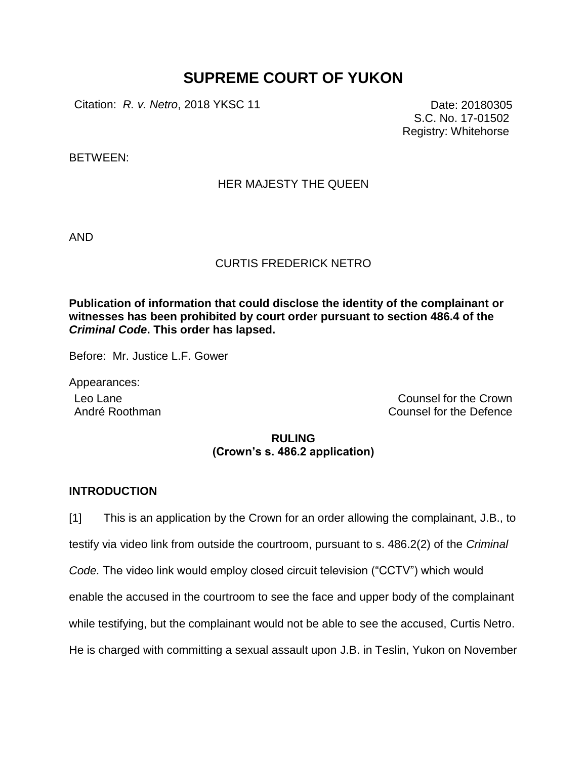# **SUPREME COURT OF YUKON**

Citation: *R. v. Netro*, 2018 YKSC 11 Date: 20180305

S.C. No. 17-01502 Registry: Whitehorse

BETWEEN:

## HER MAJESTY THE QUEEN

AND

#### CURTIS FREDERICK NETRO

**Publication of information that could disclose the identity of the complainant or witnesses has been prohibited by court order pursuant to section 486.4 of the**  *Criminal Code***. This order has lapsed.**

Before: Mr. Justice L.F. Gower

Appearances:

Leo Lane Counsel for the Crown André Roothman **Counsel for the Defence** 

# **RULING (Crown's s. 486.2 application)**

### **INTRODUCTION**

[1] This is an application by the Crown for an order allowing the complainant, J.B., to testify via video link from outside the courtroom, pursuant to s. 486.2(2) of the *Criminal Code.* The video link would employ closed circuit television ("CCTV") which would enable the accused in the courtroom to see the face and upper body of the complainant while testifying, but the complainant would not be able to see the accused, Curtis Netro. He is charged with committing a sexual assault upon J.B. in Teslin, Yukon on November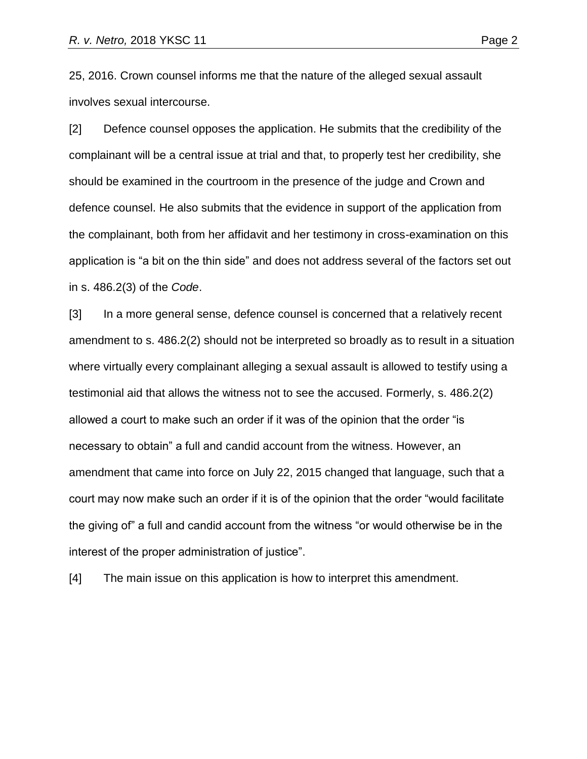25, 2016. Crown counsel informs me that the nature of the alleged sexual assault involves sexual intercourse.

[2] Defence counsel opposes the application. He submits that the credibility of the complainant will be a central issue at trial and that, to properly test her credibility, she should be examined in the courtroom in the presence of the judge and Crown and defence counsel. He also submits that the evidence in support of the application from the complainant, both from her affidavit and her testimony in cross-examination on this application is "a bit on the thin side" and does not address several of the factors set out in s. 486.2(3) of the *Code*.

[3] In a more general sense, defence counsel is concerned that a relatively recent amendment to s. 486.2(2) should not be interpreted so broadly as to result in a situation where virtually every complainant alleging a sexual assault is allowed to testify using a testimonial aid that allows the witness not to see the accused. Formerly, s. 486.2(2) allowed a court to make such an order if it was of the opinion that the order "is necessary to obtain" a full and candid account from the witness. However, an amendment that came into force on July 22, 2015 changed that language, such that a court may now make such an order if it is of the opinion that the order "would facilitate the giving of" a full and candid account from the witness "or would otherwise be in the interest of the proper administration of justice".

[4] The main issue on this application is how to interpret this amendment.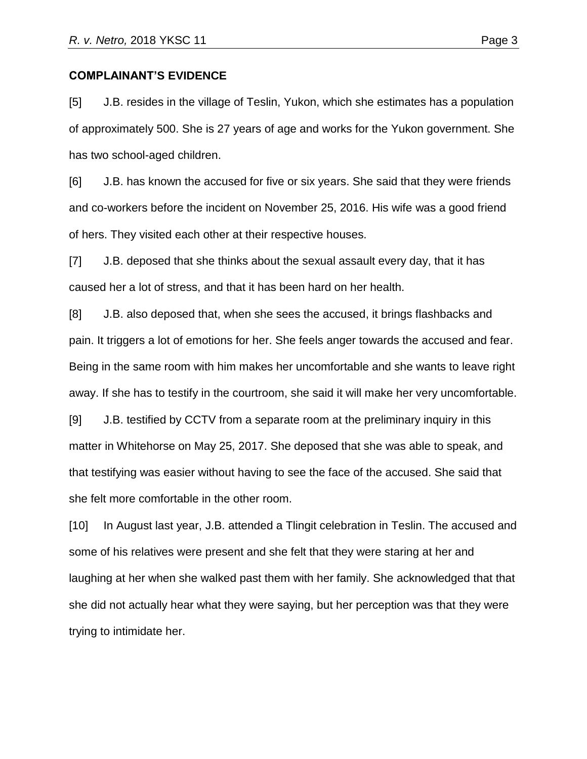#### **COMPLAINANT'S EVIDENCE**

[5] J.B. resides in the village of Teslin, Yukon, which she estimates has a population of approximately 500. She is 27 years of age and works for the Yukon government. She has two school-aged children.

[6] J.B. has known the accused for five or six years. She said that they were friends and co-workers before the incident on November 25, 2016. His wife was a good friend of hers. They visited each other at their respective houses.

[7] J.B. deposed that she thinks about the sexual assault every day, that it has caused her a lot of stress, and that it has been hard on her health.

[8] J.B. also deposed that, when she sees the accused, it brings flashbacks and pain. It triggers a lot of emotions for her. She feels anger towards the accused and fear. Being in the same room with him makes her uncomfortable and she wants to leave right away. If she has to testify in the courtroom, she said it will make her very uncomfortable.

[9] J.B. testified by CCTV from a separate room at the preliminary inquiry in this matter in Whitehorse on May 25, 2017. She deposed that she was able to speak, and that testifying was easier without having to see the face of the accused. She said that she felt more comfortable in the other room.

[10] In August last year, J.B. attended a Tlingit celebration in Teslin. The accused and some of his relatives were present and she felt that they were staring at her and laughing at her when she walked past them with her family. She acknowledged that that she did not actually hear what they were saying, but her perception was that they were trying to intimidate her.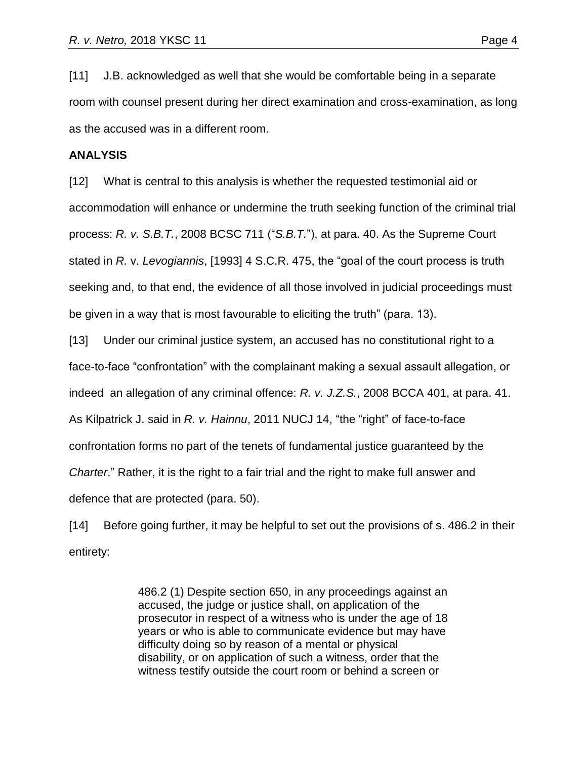[11] J.B. acknowledged as well that she would be comfortable being in a separate room with counsel present during her direct examination and cross-examination, as long as the accused was in a different room.

#### **ANALYSIS**

[12] What is central to this analysis is whether the requested testimonial aid or accommodation will enhance or undermine the truth seeking function of the criminal trial process: *R. v. S.B.T.*, 2008 BCSC 711 ("*S.B.T.*"), at para. 40. As the Supreme Court stated in *R.* v. *Levogiannis*, [1993] 4 S.C.R. 475, the "goal of the court process is truth seeking and, to that end, the evidence of all those involved in judicial proceedings must be given in a way that is most favourable to eliciting the truth" (para. 13).

[13] Under our criminal justice system, an accused has no constitutional right to a face-to-face "confrontation" with the complainant making a sexual assault allegation, or indeed an allegation of any criminal offence: *R. v. J.Z.S.*, 2008 BCCA 401, at para. 41. As Kilpatrick J. said in *R. v. Hainnu*, 2011 NUCJ 14, "the "right" of face-to-face confrontation forms no part of the tenets of fundamental justice guaranteed by the *Charter*." Rather, it is the right to a fair trial and the right to make full answer and defence that are protected (para. 50).

[14] Before going further, it may be helpful to set out the provisions of s. 486.2 in their entirety:

> 486.2 (1) Despite section 650, in any proceedings against an accused, the judge or justice shall, on application of the prosecutor in respect of a witness who is under the age of 18 years or who is able to communicate evidence but may have difficulty doing so by reason of a mental or physical disability, or on application of such a witness, order that the witness testify outside the court room or behind a screen or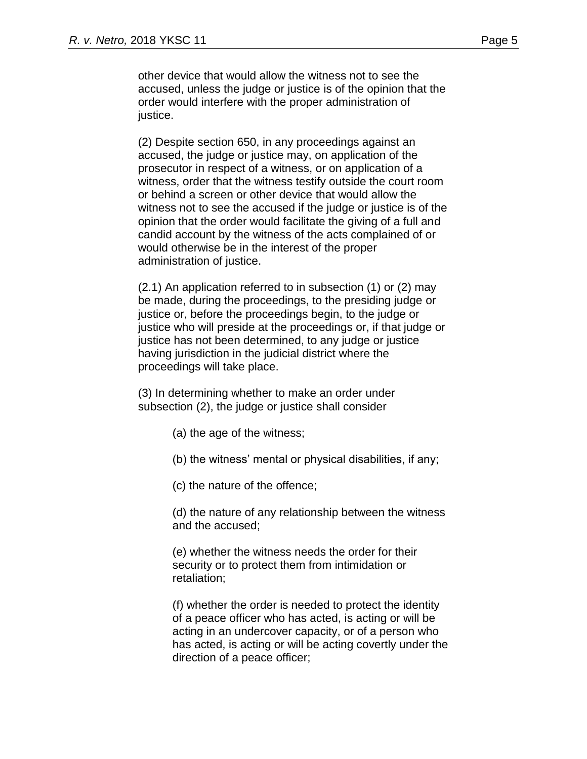other device that would allow the witness not to see the accused, unless the judge or justice is of the opinion that the order would interfere with the proper administration of justice.

(2) Despite section 650, in any proceedings against an accused, the judge or justice may, on application of the prosecutor in respect of a witness, or on application of a witness, order that the witness testify outside the court room or behind a screen or other device that would allow the witness not to see the accused if the judge or justice is of the opinion that the order would facilitate the giving of a full and candid account by the witness of the acts complained of or would otherwise be in the interest of the proper administration of justice.

(2.1) An application referred to in subsection (1) or (2) may be made, during the proceedings, to the presiding judge or justice or, before the proceedings begin, to the judge or justice who will preside at the proceedings or, if that judge or justice has not been determined, to any judge or justice having jurisdiction in the judicial district where the proceedings will take place.

(3) In determining whether to make an order under subsection (2), the judge or justice shall consider

- (a) the age of the witness;
- (b) the witness' mental or physical disabilities, if any;
- (c) the nature of the offence;

(d) the nature of any relationship between the witness and the accused;

(e) whether the witness needs the order for their security or to protect them from intimidation or retaliation;

(f) whether the order is needed to protect the identity of a peace officer who has acted, is acting or will be acting in an undercover capacity, or of a person who has acted, is acting or will be acting covertly under the direction of a peace officer;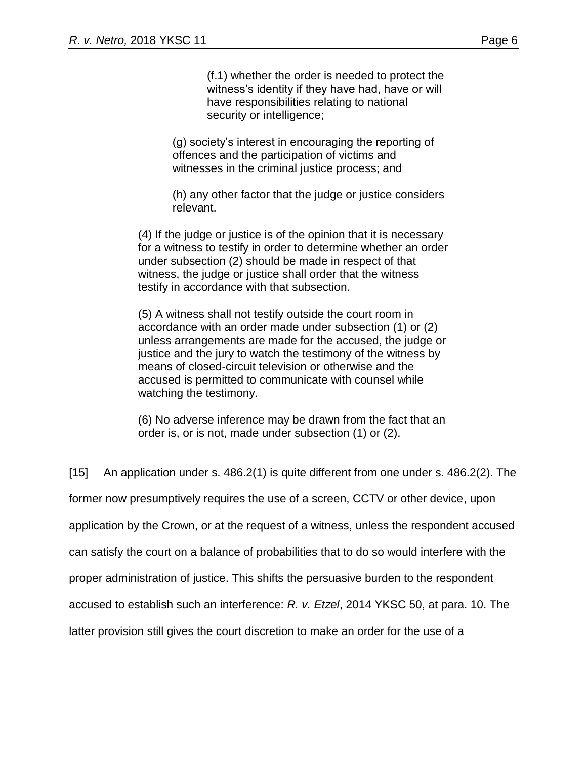(f.1) whether the order is needed to protect the witness's identity if they have had, have or will have responsibilities relating to national security or intelligence;

(g) society's interest in encouraging the reporting of offences and the participation of victims and witnesses in the criminal justice process; and

(h) any other factor that the judge or justice considers relevant.

(4) If the judge or justice is of the opinion that it is necessary for a witness to testify in order to determine whether an order under subsection (2) should be made in respect of that witness, the judge or justice shall order that the witness testify in accordance with that subsection.

(5) A witness shall not testify outside the court room in accordance with an order made under subsection (1) or (2) unless arrangements are made for the accused, the judge or justice and the jury to watch the testimony of the witness by means of closed-circuit television or otherwise and the accused is permitted to communicate with counsel while watching the testimony.

(6) No adverse inference may be drawn from the fact that an order is, or is not, made under subsection (1) or (2).

[15] An application under s. 486.2(1) is quite different from one under s. 486.2(2). The former now presumptively requires the use of a screen, CCTV or other device, upon application by the Crown, or at the request of a witness, unless the respondent accused can satisfy the court on a balance of probabilities that to do so would interfere with the proper administration of justice. This shifts the persuasive burden to the respondent accused to establish such an interference: *R. v. Etzel*, 2014 YKSC 50, at para. 10. The latter provision still gives the court discretion to make an order for the use of a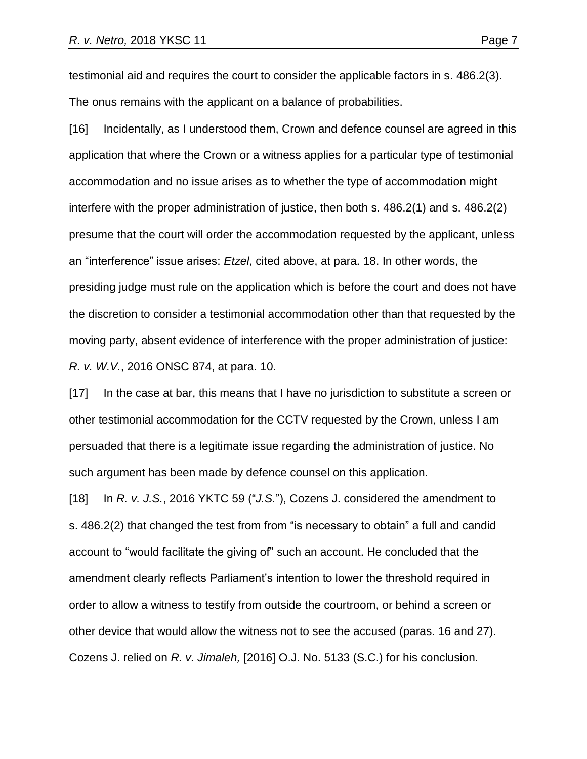testimonial aid and requires the court to consider the applicable factors in s. 486.2(3). The onus remains with the applicant on a balance of probabilities.

[16] Incidentally, as I understood them, Crown and defence counsel are agreed in this application that where the Crown or a witness applies for a particular type of testimonial accommodation and no issue arises as to whether the type of accommodation might interfere with the proper administration of justice, then both s. 486.2(1) and s. 486.2(2) presume that the court will order the accommodation requested by the applicant, unless an "interference" issue arises: *Etzel*, cited above, at para. 18. In other words, the presiding judge must rule on the application which is before the court and does not have the discretion to consider a testimonial accommodation other than that requested by the moving party, absent evidence of interference with the proper administration of justice: *R. v. W.V.*, 2016 ONSC 874, at para. 10.

[17] In the case at bar, this means that I have no jurisdiction to substitute a screen or other testimonial accommodation for the CCTV requested by the Crown, unless I am persuaded that there is a legitimate issue regarding the administration of justice. No such argument has been made by defence counsel on this application.

[18] In *R. v. J.S.*, 2016 YKTC 59 ("*J.S.*"), Cozens J. considered the amendment to s. 486.2(2) that changed the test from from "is necessary to obtain" a full and candid account to "would facilitate the giving of" such an account. He concluded that the amendment clearly reflects Parliament's intention to lower the threshold required in order to allow a witness to testify from outside the courtroom, or behind a screen or other device that would allow the witness not to see the accused (paras. 16 and 27). Cozens J. relied on *R. v. Jimaleh,* [2016] O.J. No. 5133 (S.C.) for his conclusion.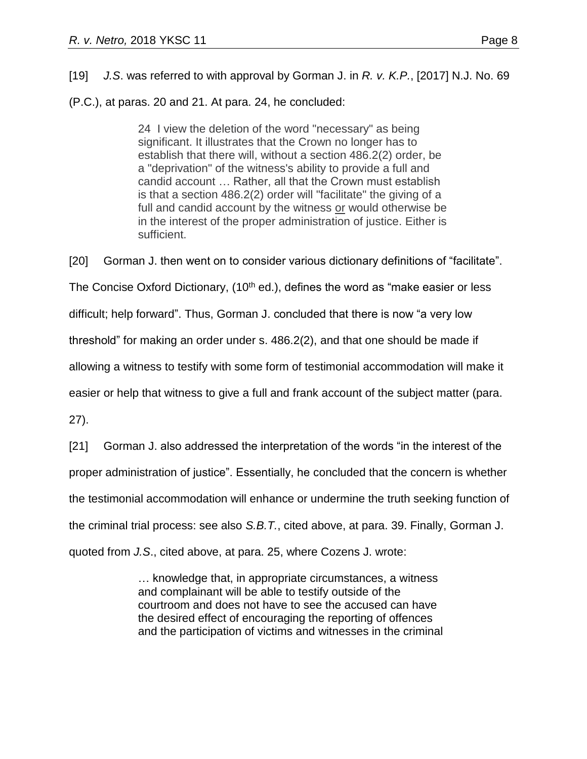[19] *J.S*. was referred to with approval by Gorman J. in *R. v. K.P.*, [2017] N.J. No. 69

(P.C.), at paras. 20 and 21. At para. 24, he concluded:

24 I view the deletion of the word "necessary" as being significant. It illustrates that the Crown no longer has to establish that there will, without a section 486.2(2) order, be a "deprivation" of the witness's ability to provide a full and candid account … Rather, all that the Crown must establish is that a section 486.2(2) order will "facilitate" the giving of a full and candid account by the witness or would otherwise be in the interest of the proper administration of justice. Either is sufficient.

[20] Gorman J. then went on to consider various dictionary definitions of "facilitate".

The Concise Oxford Dictionary,  $(10<sup>th</sup>$  ed.), defines the word as "make easier or less

difficult; help forward". Thus, Gorman J. concluded that there is now "a very low

threshold" for making an order under s. 486.2(2), and that one should be made if

allowing a witness to testify with some form of testimonial accommodation will make it

easier or help that witness to give a full and frank account of the subject matter (para.

27).

[21] Gorman J. also addressed the interpretation of the words "in the interest of the proper administration of justice". Essentially, he concluded that the concern is whether the testimonial accommodation will enhance or undermine the truth seeking function of the criminal trial process: see also *S.B.T.*, cited above, at para. 39. Finally, Gorman J. quoted from *J.S*., cited above, at para. 25, where Cozens J. wrote:

> … knowledge that, in appropriate circumstances, a witness and complainant will be able to testify outside of the courtroom and does not have to see the accused can have the desired effect of encouraging the reporting of offences and the participation of victims and witnesses in the criminal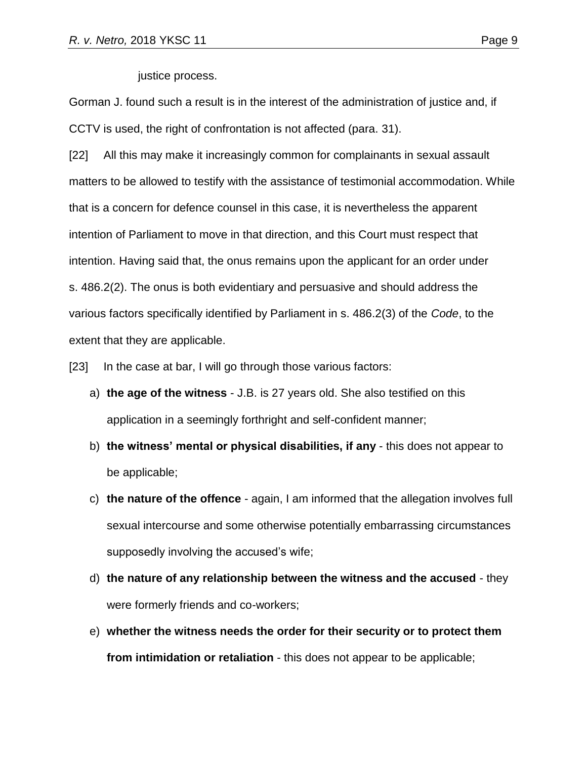justice process.

Gorman J. found such a result is in the interest of the administration of justice and, if CCTV is used, the right of confrontation is not affected (para. 31).

[22] All this may make it increasingly common for complainants in sexual assault matters to be allowed to testify with the assistance of testimonial accommodation. While that is a concern for defence counsel in this case, it is nevertheless the apparent intention of Parliament to move in that direction, and this Court must respect that intention. Having said that, the onus remains upon the applicant for an order under s. 486.2(2). The onus is both evidentiary and persuasive and should address the various factors specifically identified by Parliament in s. 486.2(3) of the *Code*, to the extent that they are applicable.

[23] In the case at bar, I will go through those various factors:

- a) **the age of the witness** J.B. is 27 years old. She also testified on this application in a seemingly forthright and self-confident manner;
- b) **the witness' mental or physical disabilities, if any** this does not appear to be applicable;
- c) **the nature of the offence** again, I am informed that the allegation involves full sexual intercourse and some otherwise potentially embarrassing circumstances supposedly involving the accused's wife;
- d) **the nature of any relationship between the witness and the accused** they were formerly friends and co-workers;
- e) **whether the witness needs the order for their security or to protect them from intimidation or retaliation** - this does not appear to be applicable;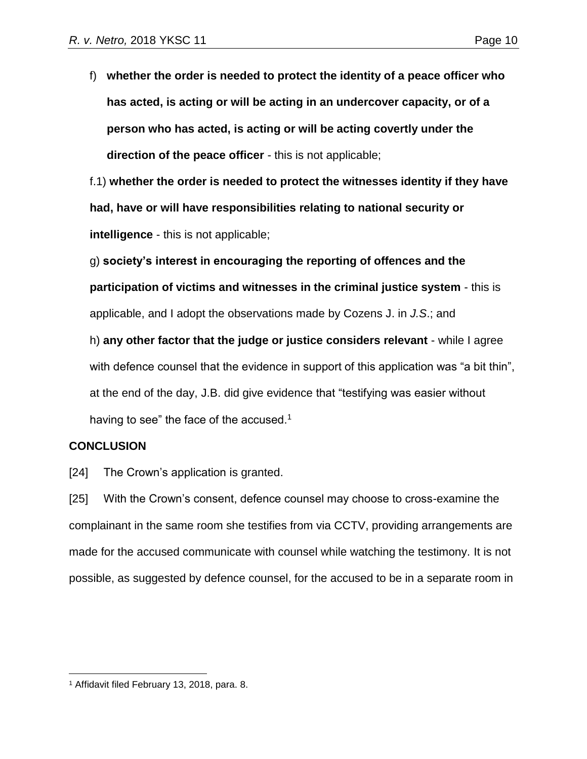f) **whether the order is needed to protect the identity of a peace officer who has acted, is acting or will be acting in an undercover capacity, or of a person who has acted, is acting or will be acting covertly under the direction of the peace officer** - this is not applicable;

f.1) **whether the order is needed to protect the witnesses identity if they have had, have or will have responsibilities relating to national security or intelligence** - this is not applicable;

g) **society's interest in encouraging the reporting of offences and the participation of victims and witnesses in the criminal justice system** - this is applicable, and I adopt the observations made by Cozens J. in *J.S*.; and

h) **any other factor that the judge or justice considers relevant** - while I agree with defence counsel that the evidence in support of this application was "a bit thin", at the end of the day, J.B. did give evidence that "testifying was easier without having to see" the face of the accused. $1$ 

# **CONCLUSION**

[24] The Crown's application is granted.

[25] With the Crown's consent, defence counsel may choose to cross-examine the complainant in the same room she testifies from via CCTV, providing arrangements are made for the accused communicate with counsel while watching the testimony. It is not possible, as suggested by defence counsel, for the accused to be in a separate room in

 $\overline{a}$ <sup>1</sup> Affidavit filed February 13, 2018, para. 8.